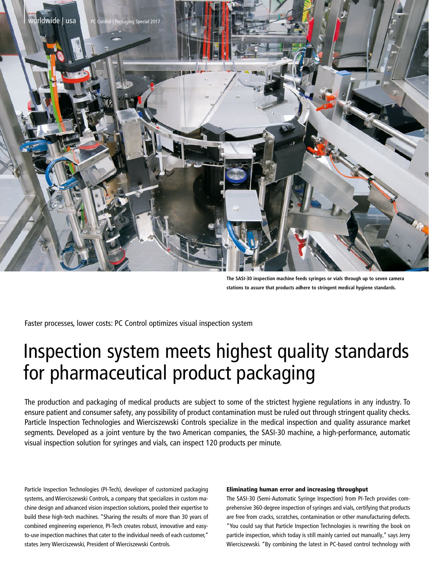

**The SASI-30 inspection machine feeds syringes or vials through up to seven camera stations to assure that products adhere to stringent medical hygiene standards.**

Faster processes, lower costs: PC Control optimizes visual inspection system

# Inspection system meets highest quality standards for pharmaceutical product packaging

The production and packaging of medical products are subject to some of the strictest hygiene regulations in any industry. To ensure patient and consumer safety, any possibility of product contamination must be ruled out through stringent quality checks. Particle Inspection Technologies and Wierciszewski Controls specialize in the medical inspection and quality assurance market segments. Developed as a joint venture by the two American companies, the SASI-30 machine, a high-performance, automatic visual inspection solution for syringes and vials, can inspect 120 products per minute.

Particle Inspection Technologies (PI-Tech), developer of customized packaging systems, and Wierciszewski Controls, a company that specializes in custom machine design and advanced vision inspection solutions, pooled their expertise to build these high-tech machines. "Sharing the results of more than 30 years of combined engineering experience, PI-Tech creates robust, innovative and easyto-use inspection machines that cater to the individual needs of each customer," states Jerry Wierciszewski, President of Wierciszewski Controls.

## Eliminating human error and increasing throughput

The SASI-30 (Semi-Automatic Syringe Inspection) from PI-Tech provides comprehensive 360-degree inspection of syringes and vials, certifying that products are free from cracks, scratches, contamination or other manufacturing defects. "You could say that Particle Inspection Technologies is rewriting the book on particle inspection, which today is still mainly carried out manually," says Jerry Wierciszewski. "By combining the latest in PC-based control technology with